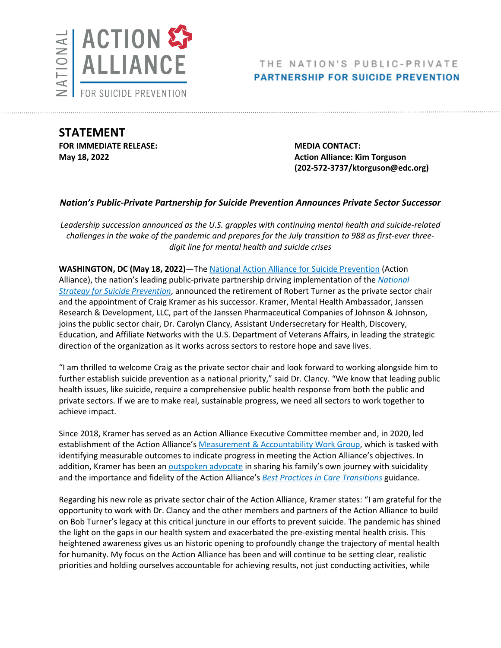

# THE NATION'S PUBLIC-PRIVATE **PARTNERSHIP FOR SUICIDE PREVENTION**

**STATEMENT FOR IMMEDIATE RELEASE: MEDIA CONTACT:**

**May 18, 2022 Action Alliance: Kim Torguson Action Alliance: Kim Torguson (202-572-3737/ktorguson@edc.org)**

## *Nation's Public-Private Partnership for Suicide Prevention Announces Private Sector Successor*

*Leadership succession announced as the U.S. grapples with continuing mental health and suicide-related challenges in the wake of the pandemic and prepares for the July transition to 988 as first-ever threedigit line for mental health and suicide crises*

**WASHINGTON, DC (May 18, 2022)—**The [National Action Alliance for Suicide Prevention](https://theactionalliance.org/) (Action Alliance), the nation's leading public-private partnership driving implementation of the *[National](https://theactionalliance.org/our-strategy/national-strategy-suicide-prevention)  [Strategy for Suicide Prevention](https://theactionalliance.org/our-strategy/national-strategy-suicide-prevention)*, announced the retirement of Robert Turner as the private sector chair and the appointment of Craig Kramer as his successor. Kramer, Mental Health Ambassador, Janssen Research & Development, LLC, part of the Janssen Pharmaceutical Companies of Johnson & Johnson, joins the public sector chair, Dr. Carolyn Clancy, Assistant Undersecretary for Health, Discovery, Education, and Affiliate Networks with the U.S. Department of Veterans Affairs, in leading the strategic direction of the organization as it works across sectors to restore hope and save lives.

"I am thrilled to welcome Craig as the private sector chair and look forward to working alongside him to further establish suicide prevention as a national priority," said Dr. Clancy. "We know that leading public health issues, like suicide, require a comprehensive public health response from both the public and private sectors. If we are to make real, sustainable progress, we need all sectors to work together to achieve impact.

Since 2018, Kramer has served as an Action Alliance Executive Committee member and, in 2020, led establishment of the Action Alliance's Measurement & [Accountability Work Group,](https://theactionalliance.org/task-force/measurement-accountability-work-group) which is tasked with identifying measurable outcomes to indicate progress in meeting the Action Alliance's objectives. In addition, Kramer has been an [outspoken advocate](https://zerosuicide.edc.org/movement/podcasts/care-transitions-podcast-series) in sharing his family's own journey with suicidality and the importance and fidelity of the Action Alliance's *[Best Practices in Care Transitions](https://theactionalliance.org/sites/default/files/report_-_best_practices_in_care_transitions_final.pdf)* guidance.

Regarding his new role as private sector chair of the Action Alliance, Kramer states: "I am grateful for the opportunity to work with Dr. Clancy and the other members and partners of the Action Alliance to build on Bob Turner's legacy at this critical juncture in our efforts to prevent suicide. The pandemic has shined the light on the gaps in our health system and exacerbated the pre-existing mental health crisis. This heightened awareness gives us an historic opening to profoundly change the trajectory of mental health for humanity. My focus on the Action Alliance has been and will continue to be setting clear, realistic priorities and holding ourselves accountable for achieving results, not just conducting activities, while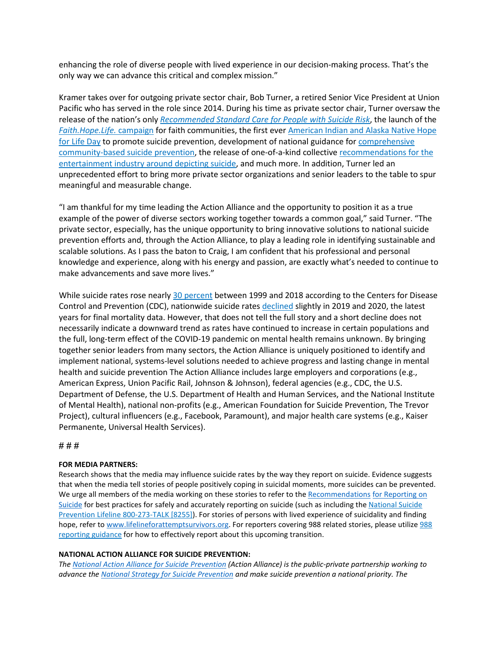enhancing the role of diverse people with lived experience in our decision-making process. That's the only way we can advance this critical and complex mission."

Kramer takes over for outgoing private sector chair, Bob Turner, a retired Senior Vice President at Union Pacific who has served in the role since 2014. During his time as private sector chair, Turner oversaw the release of the nation's only *[Recommended Standard Care for People with Suicide Risk](https://theactionalliance.org/sites/default/files/press_release_-_action_alliance_recommended_standard_care_for_people.pdf)*, the launch of the *[Faith.Hope.Life.](https://theactionalliance.org/faith-hope-life)* campaign for faith communities, the first ever American [Indian and Alaska Native Hope](https://theactionalliance.org/sites/default/files/hope_for_life_day_press_release_9-1-15_0.pdf)  [for Life Day](https://theactionalliance.org/sites/default/files/hope_for_life_day_press_release_9-1-15_0.pdf) to promote suicide prevention, development of national guidance for [comprehensive](https://theactionalliance.org/sites/default/files/action_alliance_press_release_transforming_communities_final.pdf) [community-based suicide prevention,](https://theactionalliance.org/sites/default/files/action_alliance_press_release_transforming_communities_final.pdf) the release of one-of-a-kind collective [recommendations for the](https://theactionalliance.org/sites/default/files/action_alliance_press_release_new_natl_entertainment_recommendations_final.pdf)  [entertainment industry around depicting suicide,](https://theactionalliance.org/sites/default/files/action_alliance_press_release_new_natl_entertainment_recommendations_final.pdf) and much more. In addition, Turner led an unprecedented effort to bring more private sector organizations and senior leaders to the table to spur meaningful and measurable change.

"I am thankful for my time leading the Action Alliance and the opportunity to position it as a true example of the power of diverse sectors working together towards a common goal," said Turner. "The private sector, especially, has the unique opportunity to bring innovative solutions to national suicide prevention efforts and, through the Action Alliance, to play a leading role in identifying sustainable and scalable solutions. As I pass the baton to Craig, I am confident that his professional and personal knowledge and experience, along with his energy and passion, are exactly what's needed to continue to make advancements and save more lives."

While suicide rates rose nearly [30 percent](https://www.cdc.gov/mmwr/volumes/67/wr/mm6722a1.htm?s_cid=mm6722a1_e) between 1999 and 2018 according to the Centers for Disease Control and Prevention (CDC), nationwide suicide rates [declined](https://www.cdc.gov/mmwr/volumes/71/wr/mm7108a5.htm?s_cid=mm7108a5_e&ACSTrackingID=USCDC_921-DM76529&ACSTrackingLabel=This%20Week%20in%20MMWR%20-%20Vol.%2071%2C%20February%2025%2C%202022&deliveryName=USCDC_921-DM76529) slightly in 2019 and 2020, the latest years for final mortality data. However, that does not tell the full story and a short decline does not necessarily indicate a downward trend as rates have continued to increase in certain populations and the full, long-term effect of the COVID-19 pandemic on mental health remains unknown. By bringing together senior leaders from many sectors, the Action Alliance is uniquely positioned to identify and implement national, systems-level solutions needed to achieve progress and lasting change in mental health and suicide prevention The Action Alliance includes large employers and corporations (e.g., American Express, Union Pacific Rail, Johnson & Johnson), federal agencies (e.g., CDC, the U.S. Department of Defense, the U.S. Department of Health and Human Services, and the National Institute of Mental Health), national non-profits (e.g., American Foundation for Suicide Prevention, The Trevor Project), cultural influencers (e.g., Facebook, Paramount), and major health care systems (e.g., Kaiser Permanente, Universal Health Services).

# # #

### **FOR MEDIA PARTNERS:**

Research shows that the media may influence suicide rates by the way they report on suicide. Evidence suggests that when the media tell stories of people positively coping in suicidal moments, more suicides can be prevented. We urge all members of the media working on these stories to refer to the [Recommendations](http://www.reportingonsuicide.org/) for Reporting on [Suicide](http://www.reportingonsuicide.org/) for best practices for safely and accurately reporting on suicide (such as including th[e National Suicide](https://suicidepreventionlifeline.org/)  [Prevention Lifeline 800-273-TALK \[8255\]\)](https://suicidepreventionlifeline.org/). For stories of persons with lived experience of suicidality and finding hope, refer t[o www.lifelineforattemptsurvivors.org.](http://www.lifelineforattemptsurvivors.org/) For reporters covering 988 related stories, please utilize 988 [reporting guidance](https://suicidepreventionmessaging.org/sites/default/files/2022-03/988%20Messaging%20Framework%20-%20Media%20Toolkit.pdf) for how to effectively report about this upcoming transition.

### **NATIONAL ACTION ALLIANCE FOR SUICIDE PREVENTION:**

*The [National Action Alliance for Suicide Prevention](http://actionallianceforsuicideprevention.org/) (Action Alliance) is the public-private partnership working to advance th[e National Strategy for Suicide Prevention](http://actionallianceforsuicideprevention.org/national-strategy-suicide-prevention-0) [a](http://actionallianceforsuicideprevention.org/national-strategy-suicide-prevention-0)nd make suicide prevention a national priority. T[he](https://www.samhsa.gov/)*